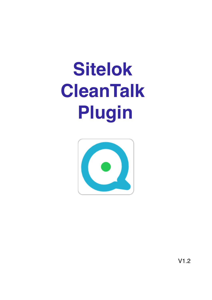# **Sitelok CleanTalk Plugin**



 $V1.2$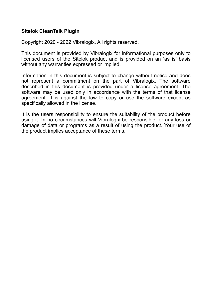#### **Sitelok CleanTalk Plugin**

Copyright 2020 - 2022 Vibralogix. All rights reserved.

This document is provided by Vibralogix for informational purposes only to licensed users of the Sitelok product and is provided on an 'as is' basis without any warranties expressed or implied.

Information in this document is subject to change without notice and does not represent a commitment on the part of Vibralogix. The software described in this document is provided under a license agreement. The software may be used only in accordance with the terms of that license agreement. It is against the law to copy or use the software except as specifically allowed in the license.

It is the users responsibility to ensure the suitability of the product before using it. In no circumstances will Vibralogix be responsible for any loss or damage of data or programs as a result of using the product. Your use of the product implies acceptance of these terms.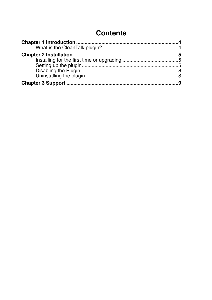# **Contents**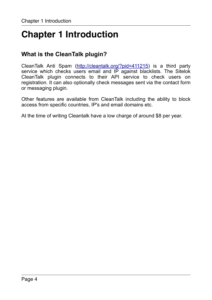# <span id="page-3-0"></span>**Chapter 1 Introduction**

# <span id="page-3-1"></span>**What is the CleanTalk plugin?**

CleanTalk Anti Spam [\(http://cleantalk.org/?pid=411215](http://cleantalk.org/?pid=411215)) is a third party service which checks users email and IP against blacklists. The Sitelok CleanTalk plugin connects to their API service to check users on registration. It can also optionally check messages sent via the contact form or messaging plugin.

Other features are available from CleanTalk including the ability to block access from specific countries, IP's and email domains etc.

At the time of writing Cleantalk have a low charge of around \$8 per year.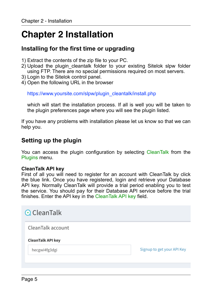# <span id="page-4-0"></span>**Chapter 2 Installation**

## <span id="page-4-1"></span>**Installing for the first time or upgrading**

- 1) Extract the contents of the zip file to your PC.
- 2) Upload the plugin cleantalk folder to your existing Sitelok slpw folder using FTP. There are no special permissions required on most servers.
- 3) Login to the Sitelok control panel.
- 4) Open the following URL in the browser

https://www.yoursite.com/slpw/plugin\_cleantalk/install.php

which will start the installation process. If all is well you will be taken to the plugin preferences page where you will see the plugin listed.

If you have any problems with installation please let us know so that we can help you.

## <span id="page-4-2"></span>**Setting up the plugin**

You can access the plugin configuration by selecting CleanTalk from the Plugins menu.

#### **CleanTalk API key**

First of all you will need to register for an account with CleanTalk by click the blue link. Once you have registered, login and retrieve your Database API key. Normally CleanTalk will provide a trial period enabling you to test the service. You should pay for their Database API service before the trial finishes. Enter the API key in the CleanTalk API key field.

| $Q$ CleanTalk            |                            |
|--------------------------|----------------------------|
| CleanTalk account        |                            |
|                          |                            |
| <b>CleanTalk API key</b> |                            |
| hecgwi4fg3dgi            | Signup to get your API Key |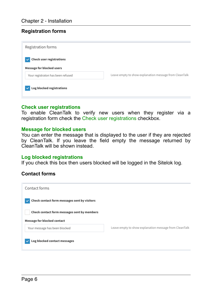#### **Registration forms**

| Registration forms                                                           |                                                        |
|------------------------------------------------------------------------------|--------------------------------------------------------|
| <b>Check user registrations</b><br>$\checkmark$<br>Message for blocked users |                                                        |
| Your registraton has been refused                                            | Leave empty to show explanation message from CleanTalk |
| Log blocked registrations                                                    |                                                        |

#### **Check user registrations**

To enable CleanTalk to verify new users when they register via a registration form check the Check user registrations checkbox.

#### **Message for blocked users**

You can enter the message that is displayed to the user if they are rejected by CleanTalk. If you leave the field empty the message returned by CleanTalk will be shown instead.

#### **Log blocked registrations**

If you check this box then users blocked will be logged in the Sitelok log.

#### **Contact forms**

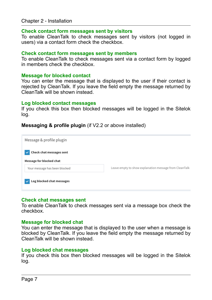#### **Check contact form messages sent by visitors**

To enable CleanTalk to check messages sent by visitors (not logged in users) via a contact form check the checkbox.

#### **Check contact form messages sent by members**

To enable CleanTalk to check messages sent via a contact form by logged in members check the checkbox.

#### **Message for blocked contact**

You can enter the message that is displayed to the user if their contact is rejected by CleanTalk. If you leave the field empty the message returned by CleanTalk will be shown instead.

#### **Log blocked contact messages**

If you check this box then blocked messages will be logged in the Sitelok log.

#### **Messaging & profile plugin** (if V2.2 or above installed)



#### **Check chat messages sent**

To enable CleanTalk to check messages sent via a message box check the checkbox.

#### **Message for blocked chat**

You can enter the message that is displayed to the user when a message is blocked by CleanTalk. If you leave the field empty the message returned by CleanTalk will be shown instead.

#### **Log blocked chat messages**

If you check this box then blocked messages will be logged in the Sitelok log.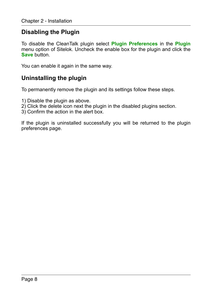## <span id="page-7-0"></span>**Disabling the Plugin**

To disable the CleanTalk plugin select **Plugin Preferences** in the **Plugin** menu option of Sitelok. Uncheck the enable box for the plugin and click the **Save** button.

You can enable it again in the same way.

## <span id="page-7-1"></span>**Uninstalling the plugin**

To permanently remove the plugin and its settings follow these steps.

- 1) Disable the plugin as above.
- 2) Click the delete icon next the plugin in the disabled plugins section.
- 3) Confirm the action in the alert box.

If the plugin is uninstalled successfully you will be returned to the plugin preferences page.